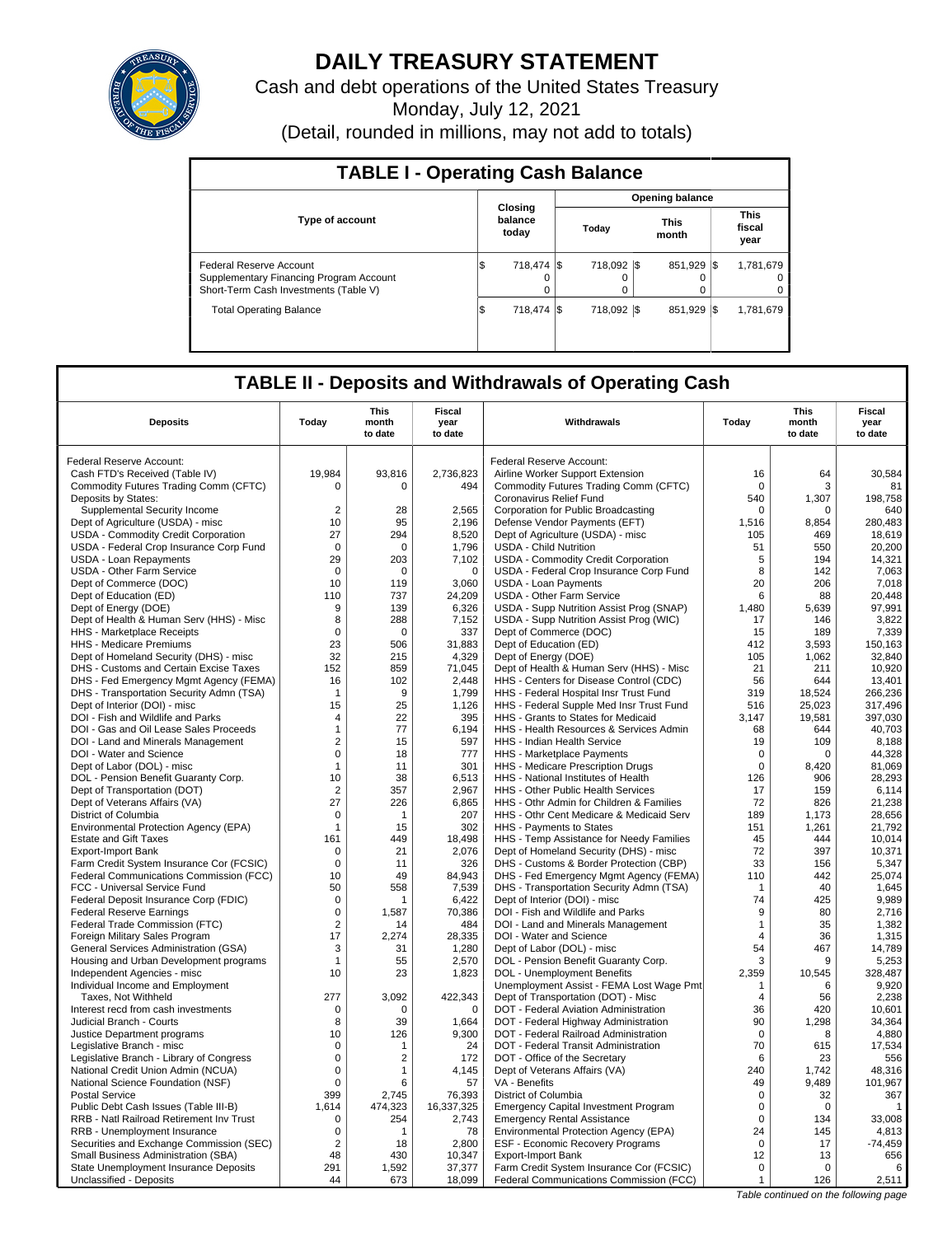

# **DAILY TREASURY STATEMENT**

Cash and debt operations of the United States Treasury

Monday, July 12, 2021

(Detail, rounded in millions, may not add to totals)

| <b>TABLE I - Operating Cash Balance</b>                                                                     |     |                             |  |                  |                        |                      |      |                               |  |
|-------------------------------------------------------------------------------------------------------------|-----|-----------------------------|--|------------------|------------------------|----------------------|------|-------------------------------|--|
|                                                                                                             |     |                             |  |                  | <b>Opening balance</b> |                      |      |                               |  |
| <b>Type of account</b>                                                                                      |     | Closing<br>balance<br>today |  | Today            |                        | <b>This</b><br>month |      | <b>This</b><br>fiscal<br>year |  |
| Federal Reserve Account<br>Supplementary Financing Program Account<br>Short-Term Cash Investments (Table V) | I\$ | 718.474 \\$<br>0<br>0       |  | 718.092 \\$<br>0 |                        | 851,929              | -1\$ | 1,781,679<br>0<br>0           |  |
| <b>Total Operating Balance</b>                                                                              | 1\$ | 718.474 \\$                 |  | 718.092 \\$      |                        | 851.929              | -1\$ | 1.781.679                     |  |

## **TABLE II - Deposits and Withdrawals of Operating Cash**

| <b>Deposits</b>                                                                   | Today                | This<br>month<br>to date | Fiscal<br>year<br>to date | Withdrawals                                                                       | Todav          | This<br>month<br>to date | Fiscal<br>year<br>to date |
|-----------------------------------------------------------------------------------|----------------------|--------------------------|---------------------------|-----------------------------------------------------------------------------------|----------------|--------------------------|---------------------------|
| Federal Reserve Account:                                                          |                      |                          |                           | Federal Reserve Account:                                                          |                |                          |                           |
| Cash FTD's Received (Table IV)                                                    | 19.984               | 93,816                   | 2,736,823                 | Airline Worker Support Extension                                                  | 16             | 64                       | 30,584                    |
| Commodity Futures Trading Comm (CFTC)                                             | 0                    | 0                        | 494                       | Commodity Futures Trading Comm (CFTC)                                             | $\mathbf 0$    | 3                        | 81                        |
| Deposits by States:                                                               |                      |                          |                           | Coronavirus Relief Fund                                                           | 540            | 1,307                    | 198,758                   |
| Supplemental Security Income                                                      | $\overline{2}$       | 28                       | 2,565                     | Corporation for Public Broadcasting                                               | 0              | 0                        | 640                       |
| Dept of Agriculture (USDA) - misc                                                 | 10                   | 95                       | 2,196                     | Defense Vendor Payments (EFT)                                                     | 1,516          | 8,854                    | 280,483                   |
| USDA - Commodity Credit Corporation                                               | 27                   | 294                      | 8,520                     | Dept of Agriculture (USDA) - misc                                                 | 105            | 469                      | 18,619                    |
| USDA - Federal Crop Insurance Corp Fund                                           | $\mathbf 0$          | $\mathbf 0$              | 1,796                     | <b>USDA - Child Nutrition</b>                                                     | 51             | 550                      | 20,200                    |
| USDA - Loan Repayments                                                            | 29                   | 203                      | 7,102                     | USDA - Commodity Credit Corporation                                               | 5              | 194                      | 14,321                    |
| <b>USDA - Other Farm Service</b>                                                  | $\mathbf 0$          | $\Omega$                 | $\mathbf 0$               | USDA - Federal Crop Insurance Corp Fund                                           | 8              | 142                      | 7,063                     |
| Dept of Commerce (DOC)                                                            | 10                   | 119                      | 3,060                     | <b>USDA - Loan Payments</b>                                                       | 20             | 206                      | 7,018                     |
| Dept of Education (ED)                                                            | 110                  | 737                      | 24,209                    | USDA - Other Farm Service                                                         | 6              | 88                       | 20.448                    |
| Dept of Energy (DOE)                                                              | 9                    | 139                      | 6,326                     | USDA - Supp Nutrition Assist Prog (SNAP)                                          | 1,480          | 5,639                    | 97,991                    |
| Dept of Health & Human Serv (HHS) - Misc                                          | 8                    | 288                      | 7,152                     | USDA - Supp Nutrition Assist Prog (WIC)                                           | 17             | 146                      | 3,822                     |
| HHS - Marketplace Receipts                                                        | $\mathsf 0$          | $\mathbf 0$              | 337                       | Dept of Commerce (DOC)                                                            | 15             | 189                      | 7,339                     |
| HHS - Medicare Premiums                                                           | 23                   | 506                      | 31,883                    | Dept of Education (ED)                                                            | 412            | 3.593                    | 150.163                   |
| Dept of Homeland Security (DHS) - misc                                            | 32                   | 215                      | 4,329                     | Dept of Energy (DOE)                                                              | 105            | 1,062                    | 32,840                    |
| DHS - Customs and Certain Excise Taxes                                            | 152                  | 859                      | 71,045                    | Dept of Health & Human Serv (HHS) - Misc                                          | 21             | 211                      | 10,920                    |
| DHS - Fed Emergency Mgmt Agency (FEMA)                                            | 16                   | 102                      | 2.448                     | HHS - Centers for Disease Control (CDC)                                           | 56             | 644                      | 13.401                    |
| DHS - Transportation Security Admn (TSA)                                          | $\mathbf 1$          | 9                        | 1,799                     | HHS - Federal Hospital Insr Trust Fund                                            | 319            | 18,524                   | 266,236                   |
| Dept of Interior (DOI) - misc                                                     | 15                   | 25                       | 1,126                     | HHS - Federal Supple Med Insr Trust Fund                                          | 516            | 25.023                   | 317,496                   |
| DOI - Fish and Wildlife and Parks                                                 | 4                    | 22                       | 395                       | HHS - Grants to States for Medicaid                                               | 3,147          | 19,581                   | 397,030                   |
| DOI - Gas and Oil Lease Sales Proceeds                                            | $\mathbf{1}$         | 77                       | 6,194                     | HHS - Health Resources & Services Admin                                           | 68             | 644                      | 40,703                    |
| DOI - Land and Minerals Management                                                | $\overline{2}$       | 15                       | 597                       | HHS - Indian Health Service                                                       | 19             | 109                      | 8,188                     |
| DOI - Water and Science                                                           | $\mathbf 0$          | 18                       | 777                       | HHS - Marketplace Payments                                                        | 0              | $\Omega$                 | 44,328                    |
| Dept of Labor (DOL) - misc                                                        | $\mathbf{1}$         | 11                       | 301                       | HHS - Medicare Prescription Drugs                                                 | $\mathbf 0$    | 8,420                    | 81,069                    |
| DOL - Pension Benefit Guaranty Corp.                                              | 10                   | 38                       | 6,513                     | HHS - National Institutes of Health                                               | 126            | 906                      | 28,293                    |
| Dept of Transportation (DOT)                                                      | $\overline{2}$<br>27 | 357                      | 2,967<br>6.865            | HHS - Other Public Health Services<br>HHS - Othr Admin for Children & Families    | 17<br>72       | 159<br>826               | 6,114<br>21.238           |
| Dept of Veterans Affairs (VA)<br>District of Columbia                             | $\mathbf 0$          | 226<br>$\mathbf{1}$      | 207                       | HHS - Othr Cent Medicare & Medicaid Serv                                          | 189            | 1,173                    | 28,656                    |
| Environmental Protection Agency (EPA)                                             | $\mathbf 1$          | 15                       | 302                       | HHS - Payments to States                                                          | 151            | 1,261                    | 21,792                    |
| <b>Estate and Gift Taxes</b>                                                      | 161                  | 449                      | 18,498                    | HHS - Temp Assistance for Needy Families                                          | 45             | 444                      | 10,014                    |
| <b>Export-Import Bank</b>                                                         | 0                    | 21                       | 2,076                     | Dept of Homeland Security (DHS) - misc                                            | 72             | 397                      | 10,371                    |
| Farm Credit System Insurance Cor (FCSIC)                                          | $\mathbf 0$          | 11                       | 326                       | DHS - Customs & Border Protection (CBP)                                           | 33             | 156                      | 5,347                     |
| Federal Communications Commission (FCC)                                           | 10                   | 49                       | 84.943                    | DHS - Fed Emergency Mgmt Agency (FEMA)                                            | 110            | 442                      | 25.074                    |
| FCC - Universal Service Fund                                                      | 50                   | 558                      | 7,539                     | DHS - Transportation Security Admn (TSA)                                          | $\mathbf{1}$   | 40                       | 1,645                     |
| Federal Deposit Insurance Corp (FDIC)                                             | $\Omega$             | 1                        | 6,422                     | Dept of Interior (DOI) - misc                                                     | 74             | 425                      | 9,989                     |
| <b>Federal Reserve Earnings</b>                                                   | $\mathbf 0$          | 1,587                    | 70,386                    | DOI - Fish and Wildlife and Parks                                                 | 9              | 80                       | 2,716                     |
| Federal Trade Commission (FTC)                                                    | $\overline{2}$       | 14                       | 484                       | DOI - Land and Minerals Management                                                | $\mathbf{1}$   | 35                       | 1,382                     |
| Foreign Military Sales Program                                                    | 17                   | 2,274                    | 28,335                    | DOI - Water and Science                                                           | 4              | 36                       | 1,315                     |
| General Services Administration (GSA)                                             | 3                    | 31                       | 1,280                     | Dept of Labor (DOL) - misc                                                        | 54             | 467                      | 14,789                    |
| Housing and Urban Development programs                                            | $\mathbf{1}$         | 55                       | 2.570                     | DOL - Pension Benefit Guaranty Corp.                                              | 3              | 9                        | 5,253                     |
| Independent Agencies - misc                                                       | 10                   | 23                       | 1,823                     | DOL - Unemployment Benefits                                                       | 2,359          | 10,545                   | 328,487                   |
| Individual Income and Employment                                                  |                      |                          |                           | Unemployment Assist - FEMA Lost Wage Pmt                                          | $\mathbf 1$    | 6                        | 9.920                     |
| Taxes, Not Withheld                                                               | 277                  | 3,092                    | 422,343                   | Dept of Transportation (DOT) - Misc                                               | $\overline{4}$ | 56                       | 2,238                     |
| Interest recd from cash investments                                               | 0                    | $\Omega$                 | $\mathbf 0$               | DOT - Federal Aviation Administration                                             | 36             | 420                      | 10.601                    |
| Judicial Branch - Courts                                                          | 8                    | 39                       | 1,664                     | DOT - Federal Highway Administration                                              | 90             | 1,298                    | 34,364                    |
| Justice Department programs                                                       | 10                   | 126                      | 9,300                     | DOT - Federal Railroad Administration                                             | $\Omega$       | 8                        | 4,880                     |
| Legislative Branch - misc                                                         | $\mathbf 0$          | 1                        | 24                        | DOT - Federal Transit Administration                                              | 70             | 615                      | 17.534                    |
| Legislative Branch - Library of Congress                                          | $\mathbf 0$          | $\overline{2}$           | 172                       | DOT - Office of the Secretary                                                     | 6              | 23                       | 556                       |
| National Credit Union Admin (NCUA)                                                | $\mathbf 0$          | $\mathbf{1}$             | 4,145                     | Dept of Veterans Affairs (VA)                                                     | 240            | 1,742                    | 48,316                    |
| National Science Foundation (NSF)                                                 | $\mathsf 0$          | 6                        | 57                        | VA - Benefits                                                                     | 49             | 9,489                    | 101,967                   |
| <b>Postal Service</b>                                                             | 399                  | 2,745                    | 76,393                    | District of Columbia                                                              | $\mathbf 0$    | 32                       | 367                       |
| Public Debt Cash Issues (Table III-B)<br>RRB - Natl Railroad Retirement Inv Trust | 1,614<br>$\Omega$    | 474,323<br>254           | 16,337,325<br>2,743       | <b>Emergency Capital Investment Program</b><br><b>Emergency Rental Assistance</b> | 0<br>$\Omega$  | $\Omega$<br>134          | $\mathbf{1}$<br>33,008    |
| RRB - Unemployment Insurance                                                      | 0                    | 1                        | 78                        | Environmental Protection Agency (EPA)                                             | 24             | 145                      | 4,813                     |
| Securities and Exchange Commission (SEC)                                          | $\overline{2}$       | 18                       | 2,800                     | ESF - Economic Recovery Programs                                                  | $\mathsf 0$    | 17                       | $-74,459$                 |
| Small Business Administration (SBA)                                               | 48                   | 430                      | 10,347                    | Export-Import Bank                                                                | 12             | 13                       | 656                       |
| State Unemployment Insurance Deposits                                             | 291                  | 1,592                    | 37,377                    | Farm Credit System Insurance Cor (FCSIC)                                          | $\mathbf 0$    | $\mathbf 0$              | 6                         |
| Unclassified - Deposits                                                           | 44                   | 673                      | 18,099                    | Federal Communications Commission (FCC)                                           | $\mathbf{1}$   | 126                      | 2,511                     |
|                                                                                   |                      |                          |                           |                                                                                   |                |                          |                           |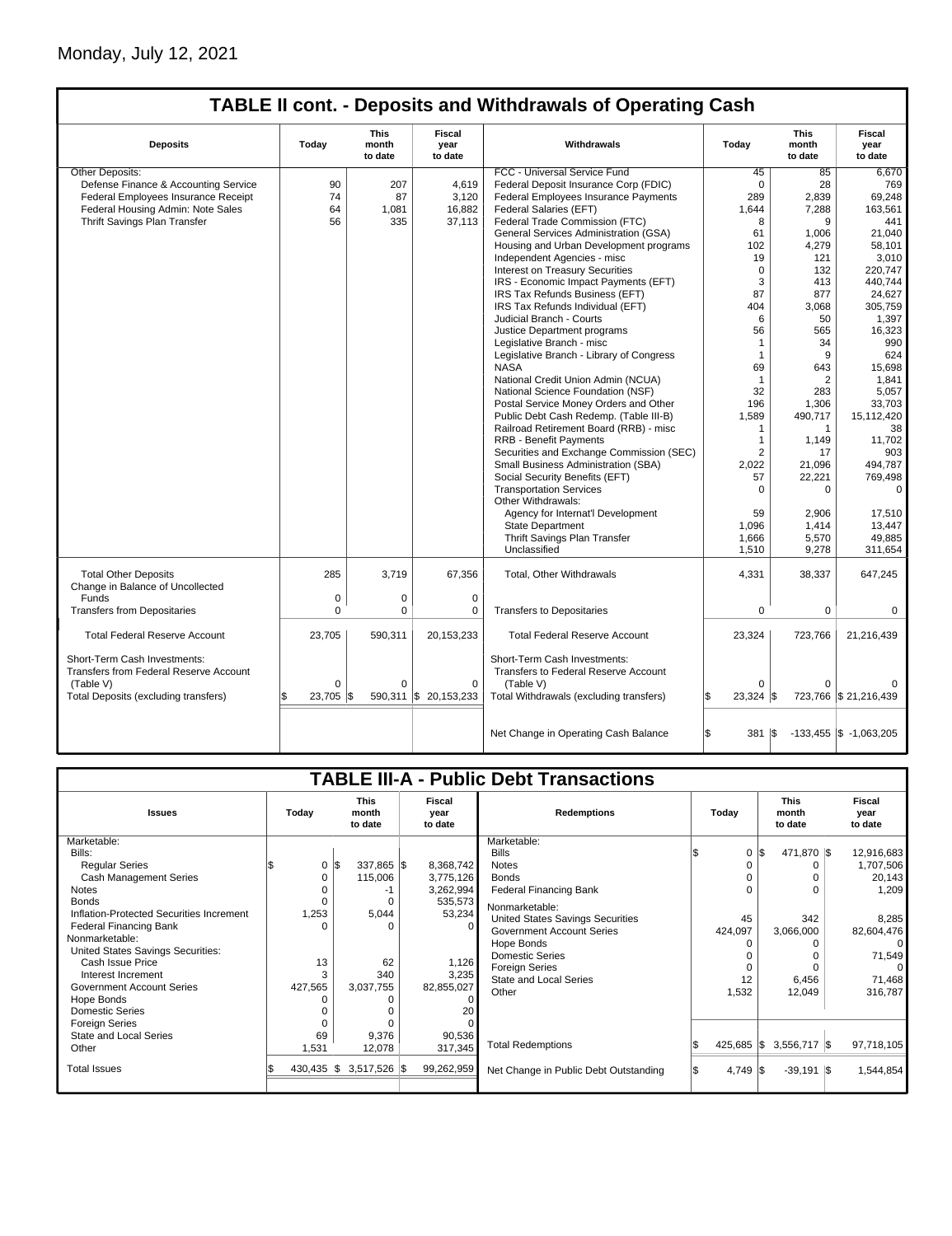## Monday, July 12, 2021

## **TABLE II cont. - Deposits and Withdrawals of Operating Cash**

| <b>Deposits</b>                                                        | Today                     | <b>This</b><br>month<br>to date | <b>Fiscal</b><br>year<br>to date | Withdrawals                                                                 | Today                          | <b>This</b><br>month<br>to date | <b>Fiscal</b><br>year<br>to date |  |  |  |
|------------------------------------------------------------------------|---------------------------|---------------------------------|----------------------------------|-----------------------------------------------------------------------------|--------------------------------|---------------------------------|----------------------------------|--|--|--|
| Other Deposits:                                                        |                           |                                 |                                  | FCC - Universal Service Fund                                                | 45                             | 85                              | 6.670                            |  |  |  |
| Defense Finance & Accounting Service                                   | 90                        | 207                             | 4,619                            | Federal Deposit Insurance Corp (FDIC)                                       | $\Omega$                       | 28                              | 769                              |  |  |  |
| Federal Employees Insurance Receipt                                    | 74                        | 87                              | 3,120                            | Federal Employees Insurance Payments                                        | 289                            | 2,839                           | 69,248                           |  |  |  |
| Federal Housing Admin: Note Sales                                      | 64                        | 1,081                           | 16,882                           | Federal Salaries (EFT)                                                      | 1,644                          | 7,288                           | 163,561                          |  |  |  |
| Thrift Savings Plan Transfer                                           | 56                        | 335                             | 37,113                           | Federal Trade Commission (FTC)                                              | 8                              | 9                               | 441                              |  |  |  |
|                                                                        |                           |                                 |                                  | General Services Administration (GSA)                                       | 61                             | 1,006                           | 21,040                           |  |  |  |
|                                                                        |                           |                                 |                                  | Housing and Urban Development programs                                      | 102                            | 4,279                           | 58,101                           |  |  |  |
|                                                                        |                           |                                 |                                  | Independent Agencies - misc                                                 | 19                             | 121                             | 3.010                            |  |  |  |
|                                                                        |                           |                                 |                                  | Interest on Treasury Securities                                             | $\Omega$                       | 132                             | 220.747                          |  |  |  |
|                                                                        |                           |                                 |                                  | IRS - Economic Impact Payments (EFT)                                        | 3                              | 413                             | 440.744                          |  |  |  |
|                                                                        |                           |                                 |                                  | IRS Tax Refunds Business (EFT)                                              | 87                             | 877                             | 24,627                           |  |  |  |
|                                                                        |                           |                                 |                                  | IRS Tax Refunds Individual (EFT)                                            | 404                            | 3,068                           | 305,759                          |  |  |  |
|                                                                        |                           |                                 |                                  | Judicial Branch - Courts                                                    | 6                              | 50                              | 1,397                            |  |  |  |
|                                                                        |                           |                                 |                                  | Justice Department programs                                                 | 56                             | 565                             | 16,323                           |  |  |  |
|                                                                        |                           |                                 |                                  | Legislative Branch - misc                                                   | $\mathbf{1}$                   | 34                              | 990                              |  |  |  |
|                                                                        |                           |                                 |                                  | Legislative Branch - Library of Congress                                    | $\mathbf{1}$                   | 9                               | 624                              |  |  |  |
|                                                                        |                           |                                 |                                  | <b>NASA</b>                                                                 | 69                             | 643                             | 15,698                           |  |  |  |
|                                                                        |                           |                                 |                                  | National Credit Union Admin (NCUA)                                          | 1                              | 2                               | 1,841                            |  |  |  |
|                                                                        |                           |                                 |                                  | National Science Foundation (NSF)                                           | 32                             | 283                             | 5.057                            |  |  |  |
|                                                                        |                           |                                 |                                  | Postal Service Money Orders and Other                                       | 196                            | 1,306                           | 33,703                           |  |  |  |
|                                                                        |                           |                                 |                                  | Public Debt Cash Redemp. (Table III-B)                                      | 1,589                          | 490,717                         | 15,112,420                       |  |  |  |
|                                                                        |                           |                                 |                                  | Railroad Retirement Board (RRB) - misc                                      | $\mathbf{1}$                   | $\mathbf{1}$                    | 38                               |  |  |  |
|                                                                        |                           |                                 |                                  | RRB - Benefit Payments                                                      | 1                              |                                 |                                  |  |  |  |
|                                                                        |                           |                                 |                                  | Securities and Exchange Commission (SEC)                                    |                                | 1,149                           | 11,702<br>903                    |  |  |  |
|                                                                        |                           |                                 |                                  | Small Business Administration (SBA)                                         | 2                              | 17<br>21.096                    | 494.787                          |  |  |  |
|                                                                        |                           |                                 |                                  |                                                                             | 2,022                          |                                 |                                  |  |  |  |
|                                                                        |                           |                                 |                                  | Social Security Benefits (EFT)                                              | 57                             | 22,221                          | 769,498                          |  |  |  |
|                                                                        |                           |                                 |                                  | <b>Transportation Services</b>                                              | $\Omega$                       | $\Omega$                        | $\mathbf 0$                      |  |  |  |
|                                                                        |                           |                                 |                                  | Other Withdrawals:                                                          |                                |                                 |                                  |  |  |  |
|                                                                        |                           |                                 |                                  | Agency for Internat'l Development                                           | 59                             | 2,906                           | 17,510                           |  |  |  |
|                                                                        |                           |                                 |                                  | <b>State Department</b>                                                     | 1,096                          | 1,414                           | 13,447                           |  |  |  |
|                                                                        |                           |                                 |                                  | Thrift Savings Plan Transfer                                                | 1,666                          | 5,570                           | 49,885                           |  |  |  |
|                                                                        |                           |                                 |                                  | Unclassified                                                                | 1,510                          | 9,278                           | 311,654                          |  |  |  |
| <b>Total Other Deposits</b><br>Change in Balance of Uncollected        | 285                       | 3.719                           | 67,356                           | Total, Other Withdrawals                                                    | 4,331                          | 38,337                          | 647,245                          |  |  |  |
| Funds                                                                  | 0                         | 0                               | $\mathbf 0$                      |                                                                             |                                |                                 |                                  |  |  |  |
| <b>Transfers from Depositaries</b>                                     | $\Omega$                  | $\Omega$                        | 0                                | <b>Transfers to Depositaries</b>                                            | 0                              | $\mathbf 0$                     | $\mathbf 0$                      |  |  |  |
| <b>Total Federal Reserve Account</b>                                   | 23,705                    | 590,311                         | 20,153,233                       | <b>Total Federal Reserve Account</b>                                        | 23,324                         | 723,766                         | 21,216,439                       |  |  |  |
| Short-Term Cash Investments:<br>Transfers from Federal Reserve Account |                           |                                 |                                  | Short-Term Cash Investments:<br><b>Transfers to Federal Reserve Account</b> |                                |                                 |                                  |  |  |  |
| (Table V)<br>Total Deposits (excluding transfers)                      | $\Omega$<br>23,705<br>\$. | $\Omega$<br>590,311<br>l\$      | $\Omega$<br>\$20,153,233         | (Table V)<br>Total Withdrawals (excluding transfers)                        | $\Omega$<br>$23,324$ \$<br>l\$ | $\Omega$                        | 723,766 \$21,216,439             |  |  |  |
|                                                                        |                           |                                 |                                  |                                                                             |                                |                                 |                                  |  |  |  |
|                                                                        |                           |                                 |                                  | Net Change in Operating Cash Balance                                        | l\$<br>$381$ $\sqrt{5}$        |                                 | $-133,455$ \$ $-1,063,205$       |  |  |  |

| <b>TABLE III-A - Public Debt Transactions</b> |         |                                 |                           |                                       |              |                                 |                           |  |  |  |
|-----------------------------------------------|---------|---------------------------------|---------------------------|---------------------------------------|--------------|---------------------------------|---------------------------|--|--|--|
| <b>Issues</b>                                 | Today   | <b>This</b><br>month<br>to date | Fiscal<br>year<br>to date | <b>Redemptions</b><br>Today           |              | <b>This</b><br>month<br>to date | Fiscal<br>year<br>to date |  |  |  |
| Marketable:                                   |         |                                 |                           | Marketable:                           |              |                                 |                           |  |  |  |
| Bills:                                        |         |                                 |                           | <b>Bills</b>                          | $\Omega$     | l\$<br>471,870 \$               | 12,916,683                |  |  |  |
| <b>Regular Series</b>                         | 0       | 337,865 \$<br>l\$               | 8,368,742                 | <b>Notes</b>                          |              |                                 | 1,707,506                 |  |  |  |
| <b>Cash Management Series</b>                 | 0       | 115,006                         | 3,775,126                 | <b>Bonds</b>                          |              | O                               | 20,143                    |  |  |  |
| <b>Notes</b>                                  |         | -1                              | 3,262,994                 | <b>Federal Financing Bank</b>         |              | O                               | 1,209                     |  |  |  |
| <b>Bonds</b>                                  | U       | $\Omega$                        | 535,573                   | Nonmarketable:                        |              |                                 |                           |  |  |  |
| Inflation-Protected Securities Increment      | 1,253   | 5,044                           | 53,234                    | United States Savings Securities      | 45           | 342                             | 8,285                     |  |  |  |
| <b>Federal Financing Bank</b>                 | n       | $\Omega$                        |                           | <b>Government Account Series</b>      | 424,097      | 3,066,000                       | 82,604,476                |  |  |  |
| Nonmarketable:                                |         |                                 |                           | Hope Bonds                            |              |                                 | $\Omega$                  |  |  |  |
| United States Savings Securities:             |         |                                 |                           | <b>Domestic Series</b>                |              |                                 | 71,549                    |  |  |  |
| Cash Issue Price                              | 13      | 62                              | 1,126                     | <b>Foreign Series</b>                 |              |                                 | $\Omega$                  |  |  |  |
| Interest Increment                            | 3       | 340                             | 3,235                     | State and Local Series                | 12           | 6,456                           | 71,468                    |  |  |  |
| <b>Government Account Series</b>              | 427,565 | 3,037,755                       | 82,855,027                | Other                                 | 1,532        | 12,049                          | 316,787                   |  |  |  |
| Hope Bonds                                    | ŋ       | 0                               |                           |                                       |              |                                 |                           |  |  |  |
| <b>Domestic Series</b>                        |         |                                 |                           |                                       |              |                                 |                           |  |  |  |
| <b>Foreign Series</b>                         |         |                                 |                           |                                       |              |                                 |                           |  |  |  |
| State and Local Series                        | 69      | 9,376                           | 90,536                    |                                       | $425,685$ \$ |                                 | 97,718,105                |  |  |  |
| Other                                         | 1,531   | 12,078                          | 317,345                   | <b>Total Redemptions</b>              |              | 3,556,717 \$                    |                           |  |  |  |
| <b>Total Issues</b>                           |         | 430,435 \$ 3,517,526 \$         | 99,262,959                | Net Change in Public Debt Outstanding | $4,749$ \\$  | $-39,191$ \\$                   | 1,544,854                 |  |  |  |
|                                               |         |                                 |                           |                                       |              |                                 |                           |  |  |  |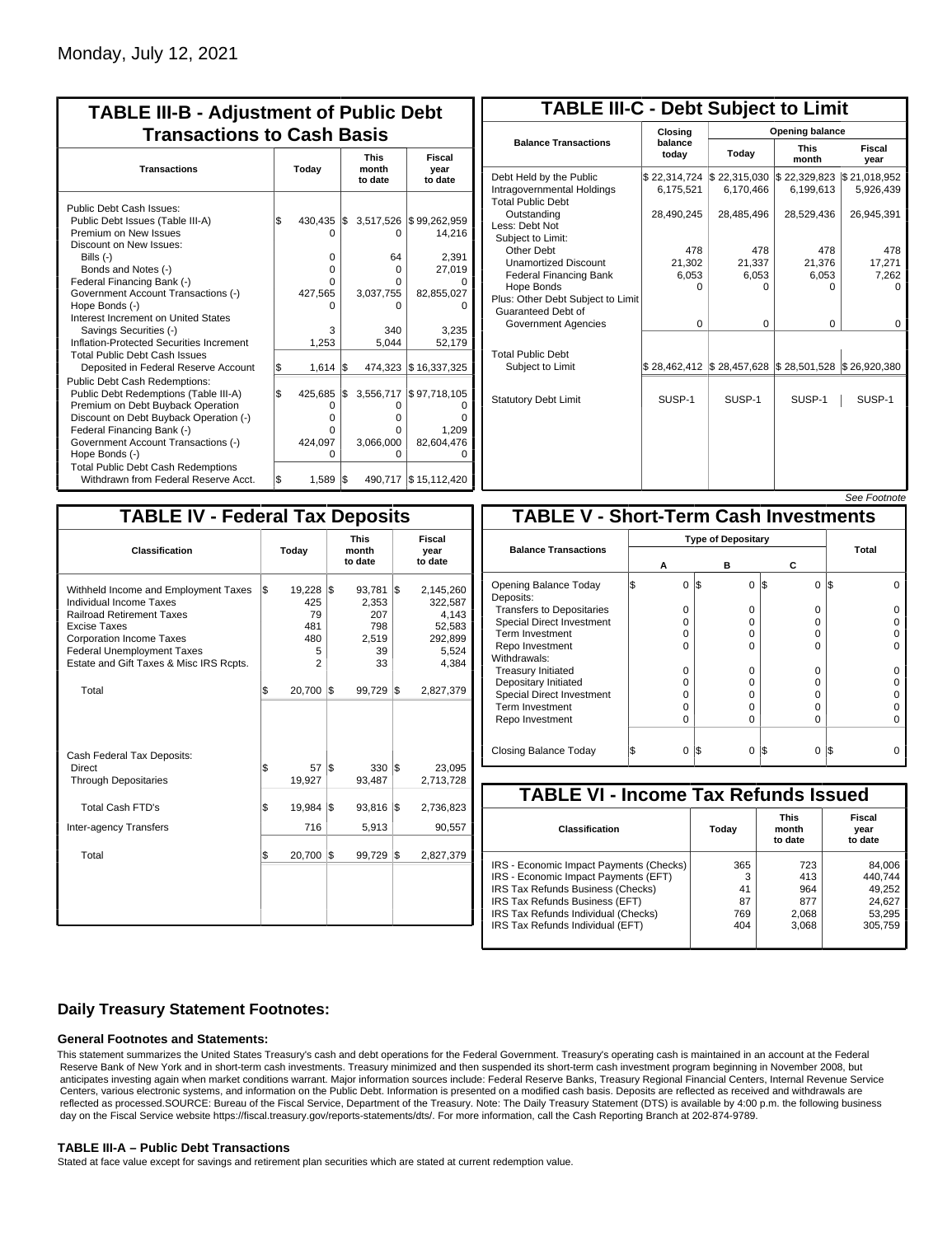| <b>TABLE III-B - Adjustment of Public Debt</b><br><b>Transactions to Cash Basis</b>                                                                                                                                                                                                                                                                                                                |           |                                                               |            |                                                       |                                                                                       |  |  |                                 |                           |
|----------------------------------------------------------------------------------------------------------------------------------------------------------------------------------------------------------------------------------------------------------------------------------------------------------------------------------------------------------------------------------------------------|-----------|---------------------------------------------------------------|------------|-------------------------------------------------------|---------------------------------------------------------------------------------------|--|--|---------------------------------|---------------------------|
| <b>Transactions</b>                                                                                                                                                                                                                                                                                                                                                                                |           | Today                                                         |            |                                                       |                                                                                       |  |  | <b>This</b><br>month<br>to date | Fiscal<br>year<br>to date |
| Public Debt Cash Issues:<br>Public Debt Issues (Table III-A)<br>Premium on New Issues<br>Discount on New Issues:<br>Bills $(-)$<br>Bonds and Notes (-)<br>Federal Financing Bank (-)<br>Government Account Transactions (-)<br>Hope Bonds (-)<br>Interest Increment on United States<br>Savings Securities (-)<br>Inflation-Protected Securities Increment<br><b>Total Public Debt Cash Issues</b> | 1\$       | 430.435<br>$\Omega$<br>$\Omega$<br>O<br>427,565<br>3<br>1,253 | I\$        | 0<br>64<br>0<br>O<br>3,037,755<br>n<br>340<br>5,044   | 3,517,526 \\$99,262,959<br>14,216<br>2,391<br>27,019<br>82,855,027<br>3,235<br>52,179 |  |  |                                 |                           |
| Deposited in Federal Reserve Account<br><b>Public Debt Cash Redemptions:</b><br>Public Debt Redemptions (Table III-A)<br>Premium on Debt Buyback Operation<br>Discount on Debt Buyback Operation (-)<br>Federal Financing Bank (-)<br>Government Account Transactions (-)<br>Hope Bonds (-)<br><b>Total Public Debt Cash Redemptions</b>                                                           | \$<br>l\$ | 1.614<br>425,685<br>0<br>$\Omega$<br>O<br>424,097<br>O        | I\$<br>1\$ | 474.323<br>3,556,717<br>0<br>o<br>o<br>3,066,000<br>ŋ | \$16,337,325<br>\$97,718,105<br>1,209<br>82,604,476                                   |  |  |                                 |                           |
| Withdrawn from Federal Reserve Acct.                                                                                                                                                                                                                                                                                                                                                               | \$        | 1,589                                                         | l\$        |                                                       | 490,717 \$15,112,420                                                                  |  |  |                                 |                           |

| <b>TABLE III-C - Debt Subject to Limit</b>                                        |                           |                           |                           |                           |  |  |  |  |
|-----------------------------------------------------------------------------------|---------------------------|---------------------------|---------------------------|---------------------------|--|--|--|--|
|                                                                                   | Closina                   | Opening balance           |                           |                           |  |  |  |  |
| <b>Balance Transactions</b>                                                       | balance<br>today          | Today                     | <b>This</b><br>month      | Fiscal<br>year            |  |  |  |  |
| Debt Held by the Public<br>Intragovernmental Holdings<br><b>Total Public Debt</b> | \$22,314,724<br>6,175,521 | \$22,315,030<br>6,170,466 | \$22,329,823<br>6.199.613 | \$21,018,952<br>5,926,439 |  |  |  |  |
| Outstanding<br>Less: Debt Not<br>Subject to Limit:                                | 28,490,245                | 28,485,496                | 28,529,436                | 26,945,391                |  |  |  |  |
| Other Debt                                                                        | 478                       | 478                       | 478                       | 478                       |  |  |  |  |
| <b>Unamortized Discount</b>                                                       | 21,302                    | 21,337                    | 21,376                    | 17,271                    |  |  |  |  |
| <b>Federal Financing Bank</b>                                                     | 6,053                     | 6,053                     | 6,053                     | 7,262                     |  |  |  |  |
| Hope Bonds                                                                        | $\Omega$                  | O                         | U                         | n                         |  |  |  |  |
| Plus: Other Debt Subject to Limit<br>Guaranteed Debt of                           |                           |                           |                           |                           |  |  |  |  |
| Government Agencies                                                               | $\Omega$                  | $\Omega$                  | $\Omega$                  | $\Omega$                  |  |  |  |  |
| <b>Total Public Debt</b><br>Subject to Limit                                      | \$28,462,412              | \$28,457,628              | \$28,501,528              | \$26,920,380              |  |  |  |  |
|                                                                                   |                           |                           |                           |                           |  |  |  |  |
| <b>Statutory Debt Limit</b>                                                       | SUSP-1                    | SUSP-1                    | SUSP-1                    | SUSP-1                    |  |  |  |  |
|                                                                                   |                           |                           |                           |                           |  |  |  |  |

 $S_{\alpha\alpha}E_{\alpha}$ 

| <b>TABLE IV - Federal Tax Deposits</b>                                                                                                                                                                                                               |     |                                                               |     |                                                                 |     |                                                                      |  |  |  |
|------------------------------------------------------------------------------------------------------------------------------------------------------------------------------------------------------------------------------------------------------|-----|---------------------------------------------------------------|-----|-----------------------------------------------------------------|-----|----------------------------------------------------------------------|--|--|--|
| Classification                                                                                                                                                                                                                                       |     | Today                                                         |     | <b>This</b><br>month<br>to date                                 |     | Fiscal<br>year<br>to date                                            |  |  |  |
| Withheld Income and Employment Taxes<br><b>Individual Income Taxes</b><br><b>Railroad Retirement Taxes</b><br><b>Excise Taxes</b><br><b>Corporation Income Taxes</b><br><b>Federal Unemployment Taxes</b><br>Estate and Gift Taxes & Misc IRS Rcpts. | l\$ | $19,228$ \$<br>425<br>79<br>481<br>480<br>5<br>$\overline{2}$ |     | $93,781$ $\sqrt{5}$<br>2,353<br>207<br>798<br>2,519<br>39<br>33 |     | 2,145,260<br>322,587<br>4,143<br>52,583<br>292,899<br>5,524<br>4,384 |  |  |  |
| Total                                                                                                                                                                                                                                                | \$  | 20,700                                                        | 1\$ | 99,729                                                          | 1\$ | 2,827,379                                                            |  |  |  |
| Cash Federal Tax Deposits:<br>Direct<br><b>Through Depositaries</b>                                                                                                                                                                                  | \$  | 57<br>19,927                                                  | 1\$ | 330<br>93,487                                                   | 1\$ | 23,095<br>2,713,728                                                  |  |  |  |
| <b>Total Cash FTD's</b><br><b>Inter-agency Transfers</b>                                                                                                                                                                                             | \$  | 19,984<br>716                                                 | 1\$ | 93,816<br>5,913                                                 | 1\$ | 2,736,823<br>90,557                                                  |  |  |  |
| Total                                                                                                                                                                                                                                                | \$  | 20,700                                                        | 1\$ | 99,729                                                          | 1\$ | 2,827,379                                                            |  |  |  |
|                                                                                                                                                                                                                                                      |     |                                                               |     |                                                                 |     |                                                                      |  |  |  |

|                                              |   |                           |     |          |          |     | OCC I UUUIUIG |
|----------------------------------------------|---|---------------------------|-----|----------|----------|-----|---------------|
| <b>TABLE V - Short-Term Cash Investments</b> |   |                           |     |          |          |     |               |
|                                              |   | <b>Type of Depositary</b> |     |          |          |     |               |
| <b>Balance Transactions</b>                  |   | А                         |     | в        | с        |     | Total         |
| Opening Balance Today<br>Deposits:           | S | 0                         | 1\$ | $\Omega$ | 1\$<br>0 | I\$ |               |
| <b>Transfers to Depositaries</b>             |   | O                         |     | 0        | O        |     |               |
| <b>Special Direct Investment</b>             |   | O                         |     | 0        | 0        |     |               |
| Term Investment                              |   | O                         |     | 0        | O        |     |               |
| Repo Investment                              |   | O                         |     | $\Omega$ | 0        |     |               |
| Withdrawals:                                 |   |                           |     |          |          |     |               |
| <b>Treasury Initiated</b>                    |   | O                         |     | 0        | O        |     |               |
| Depositary Initiated                         |   | O                         |     | 0        | O        |     |               |
| <b>Special Direct Investment</b>             |   | 0                         |     | 0        | 0        |     |               |
| <b>Term Investment</b>                       |   | O                         |     | $\Omega$ | 0        |     |               |
| Repo Investment                              |   | 0                         |     | $\Omega$ | O        |     |               |
| Closing Balance Today                        |   | 0                         | I\$ | 0        | 0<br>13  | I\$ |               |

| <b>TABLE VI - Income Tax Refunds Issued</b> |       |                                 |                           |  |  |  |  |  |  |
|---------------------------------------------|-------|---------------------------------|---------------------------|--|--|--|--|--|--|
| Classification                              | Today | <b>This</b><br>month<br>to date | Fiscal<br>year<br>to date |  |  |  |  |  |  |
| IRS - Economic Impact Payments (Checks)     | 365   | 723                             | 84,006                    |  |  |  |  |  |  |
| IRS - Economic Impact Payments (EFT)        | 3     | 413                             | 440.744                   |  |  |  |  |  |  |
| IRS Tax Refunds Business (Checks)           | 41    | 964                             | 49,252                    |  |  |  |  |  |  |
| IRS Tax Refunds Business (EFT)              | 87    | 877                             | 24,627                    |  |  |  |  |  |  |
| IRS Tax Refunds Individual (Checks)         | 769   | 2,068                           | 53,295                    |  |  |  |  |  |  |
| IRS Tax Refunds Individual (EFT)            | 404   | 3,068                           | 305.759                   |  |  |  |  |  |  |

### **Daily Treasury Statement Footnotes:**

### **General Footnotes and Statements:**

This statement summarizes the United States Treasury's cash and debt operations for the Federal Government. Treasury's operating cash is maintained in an account at the Federal Reserve Bank of New York and in short-term cash investments. Treasury minimized and then suspended its short-term cash investment program beginning in November 2008, but anticipates investing again when market conditions warrant. Major information sources include: Federal Reserve Banks, Treasury Regional Financial Centers, Internal Revenue Service Centers, various electronic systems, and information on the Public Debt. Information is presented on a modified cash basis. Deposits are reflected as received and withdrawals are reflected as processed.SOURCE: Bureau of the Fiscal Service, Department of the Treasury. Note: The Daily Treasury Statement (DTS) is available by 4:00 p.m. the following business day on the Fiscal Service website https://fiscal.treasury.gov/reports-statements/dts/. For more information, call the Cash Reporting Branch at 202-874-9789.

### **TABLE III-A – Public Debt Transactions**

Stated at face value except for savings and retirement plan securities which are stated at current redemption value.